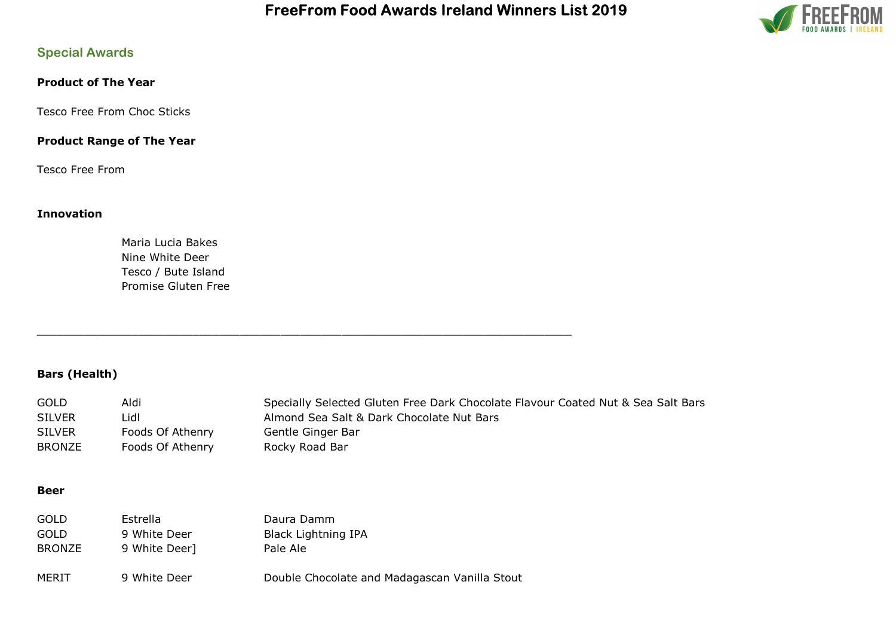

# Special Awards

## Product of The Year

Tesco Free From Choc Sticks

## Product Range of The Year

Tesco Free From

### Innovation

Maria Lucia Bakes Nine White Deer Tesco / Bute Island Promise Gluten Free

# Bars (Health)

| <b>GOLD</b>   | Aldi             | Specially Selected Gluten Free Dark Chocolate Flavour Coated Nut & Sea Salt Bars |
|---------------|------------------|----------------------------------------------------------------------------------|
| <b>SILVER</b> | _idl             | Almond Sea Salt & Dark Chocolate Nut Bars                                        |
| <b>SILVER</b> | Foods Of Athenry | Gentle Ginger Bar                                                                |
| <b>BRONZE</b> | Foods Of Athenry | Rocky Road Bar                                                                   |

#### Beer

| GOLD          | Estrella      | Daura Damm                                    |
|---------------|---------------|-----------------------------------------------|
| GOLD          | 9 White Deer  | <b>Black Lightning IPA</b>                    |
| <b>BRONZE</b> | 9 White Deer] | Pale Ale                                      |
| MERIT         | 9 White Deer  | Double Chocolate and Madagascan Vanilla Stout |

\_\_\_\_\_\_\_\_\_\_\_\_\_\_\_\_\_\_\_\_\_\_\_\_\_\_\_\_\_\_\_\_\_\_\_\_\_\_\_\_\_\_\_\_\_\_\_\_\_\_\_\_\_\_\_\_\_\_\_\_\_\_\_\_\_\_\_\_\_\_\_\_\_\_\_\_\_\_\_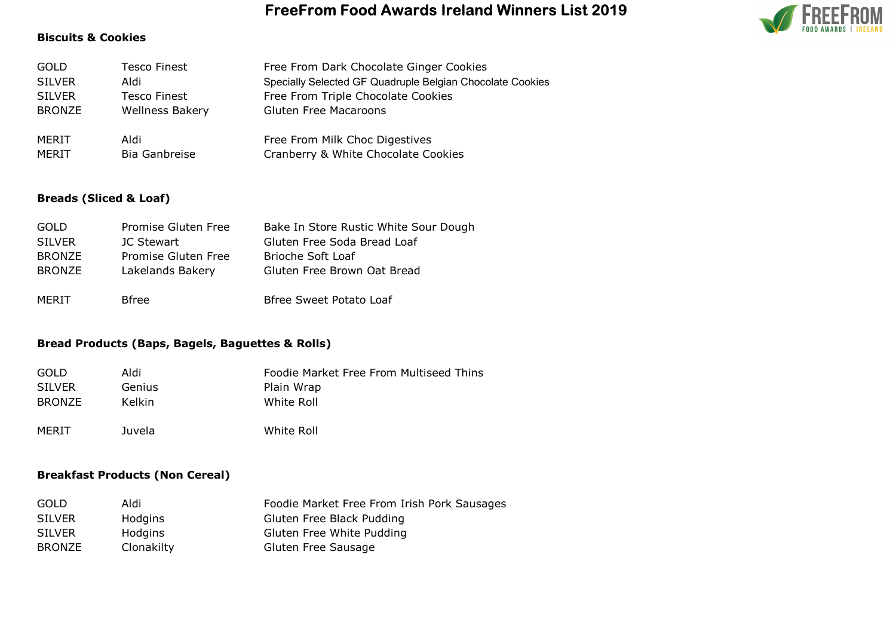#### Biscuits & Cookies



### Breads (Sliced & Loaf)

| <b>GOLD</b>   | Promise Gluten Free | Bake In Store Rustic White Sour Dough |
|---------------|---------------------|---------------------------------------|
| <b>SILVER</b> | JC Stewart          | Gluten Free Soda Bread Loaf           |
| <b>BRONZE</b> | Promise Gluten Free | Brioche Soft Loaf                     |
| BRONZE        | Lakelands Bakery    | Gluten Free Brown Oat Bread           |
|               |                     |                                       |
| MERIT         | <b>B</b> free       | Bfree Sweet Potato Loaf               |

### Bread Products (Baps, Bagels, Baguettes & Rolls)

| GOLD          | Aldi          | Foodie Market Free From Multiseed Thins |
|---------------|---------------|-----------------------------------------|
| <b>SILVER</b> | Genius        | Plain Wrap                              |
| <b>BRONZE</b> | <b>Kelkin</b> | White Roll                              |
| MERIT         | Juvela        | White Roll                              |

#### Breakfast Products (Non Cereal)

| <b>GOLD</b>   | Aldi       | Foodie Market Free From Irish Pork Sausages |
|---------------|------------|---------------------------------------------|
| <b>SILVER</b> | Hodgins    | Gluten Free Black Pudding                   |
| <b>SILVER</b> | Hodgins    | Gluten Free White Pudding                   |
| BRONZE        | Clonakilty | Gluten Free Sausage                         |

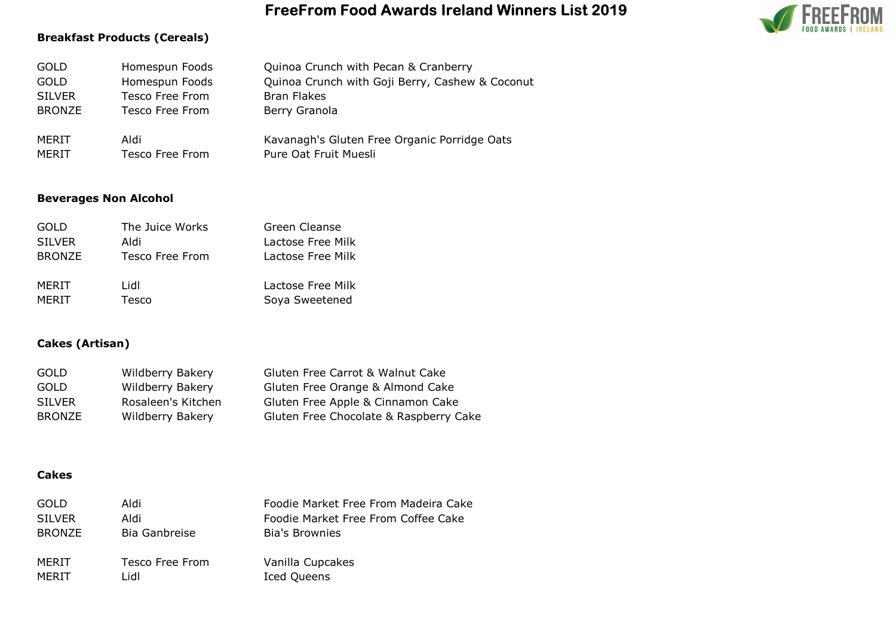### Breakfast Products (Cereals)

| <b>GOLD</b>   | Homespun Foods  | Quinoa Crunch with Pecan & Cranberry            |
|---------------|-----------------|-------------------------------------------------|
| <b>GOLD</b>   | Homespun Foods  | Quinoa Crunch with Goji Berry, Cashew & Coconut |
| <b>SILVER</b> | Tesco Free From | <b>Bran Flakes</b>                              |
| <b>BRONZE</b> | Tesco Free From | Berry Granola                                   |
| MERIT         | iblA            | Kavanagh's Gluten Free Organic Porridge Oats    |
| MERIT         | Tesco Free From | Pure Oat Fruit Muesli                           |

## Beverages Non Alcohol

| <b>GOLD</b>   | The Juice Works | Green Cleanse     |
|---------------|-----------------|-------------------|
| <b>SILVER</b> | aldi            | Lactose Free Milk |
| <b>BRONZE</b> | Tesco Free From | Lactose Free Milk |
| MERIT         | Lidl            | Lactose Free Milk |
| MFRIT         | Tesco           | Soya Sweetened    |

# Cakes (Artisan)

| Wildberry Bakery   | Gluten Free Carrot & Walnut Cake       |
|--------------------|----------------------------------------|
| Wildberry Bakery   | Gluten Free Orange & Almond Cake       |
| Rosaleen's Kitchen | Gluten Free Apple & Cinnamon Cake      |
| Wildberry Bakery   | Gluten Free Chocolate & Raspberry Cake |
|                    |                                        |

### Cakes

| GOLD          | iblA            | Foodie Market Free From Madeira Cake |
|---------------|-----------------|--------------------------------------|
| <b>SILVER</b> | Aldi            | Foodie Market Free From Coffee Cake  |
| <b>BRONZE</b> | Bia Ganbreise   | Bia's Brownies                       |
| MERIT         | Tesco Free From | Vanilla Cupcakes                     |
| MERIT         | Lidl            | <b>Iced Queens</b>                   |

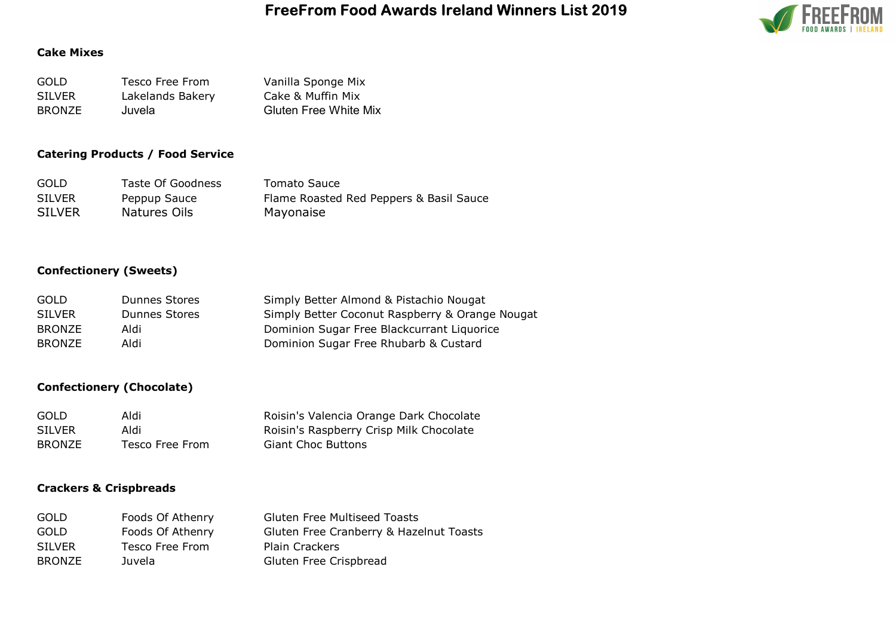

## Cake Mixes

| <b>GOLD</b>   | Tesco Free From  | Vanilla Sponge Mix           |
|---------------|------------------|------------------------------|
| <b>SILVER</b> | Lakelands Bakery | Cake & Muffin Mix            |
| <b>BRONZE</b> | Juvela           | <b>Gluten Free White Mix</b> |

## Catering Products / Food Service

| <b>GOLD</b>   | Taste Of Goodness | Tomato Sauce                            |
|---------------|-------------------|-----------------------------------------|
| <b>SILVER</b> | Peppup Sauce      | Flame Roasted Red Peppers & Basil Sauce |
| <b>SILVER</b> | Natures Oils      | Mayonaise                               |

## Confectionery (Sweets)

| GOLD          | Dunnes Stores | Simply Better Almond & Pistachio Nougat         |
|---------------|---------------|-------------------------------------------------|
| <b>SILVER</b> | Dunnes Stores | Simply Better Coconut Raspberry & Orange Nougat |
| <b>BRONZE</b> | Aldi          | Dominion Sugar Free Blackcurrant Liquorice      |
| <b>BRONZE</b> | Aldi          | Dominion Sugar Free Rhubarb & Custard           |

## Confectionery (Chocolate)

| <b>GOLD</b>   | Aldi            | Roisin's Valencia Orange Dark Chocolate |
|---------------|-----------------|-----------------------------------------|
| <b>SILVER</b> | Aldi            | Roisin's Raspberry Crisp Milk Chocolate |
| <b>BRONZE</b> | Tesco Free From | <b>Giant Choc Buttons</b>               |

### Crackers & Crispbreads

| <b>GOLD</b>   | Foods Of Athenry | <b>Gluten Free Multiseed Toasts</b>     |
|---------------|------------------|-----------------------------------------|
| <b>GOLD</b>   | Foods Of Athenry | Gluten Free Cranberry & Hazelnut Toasts |
| <b>SILVER</b> | Tesco Free From  | <b>Plain Crackers</b>                   |
| <b>BRONZE</b> | Juvela           | Gluten Free Crispbread                  |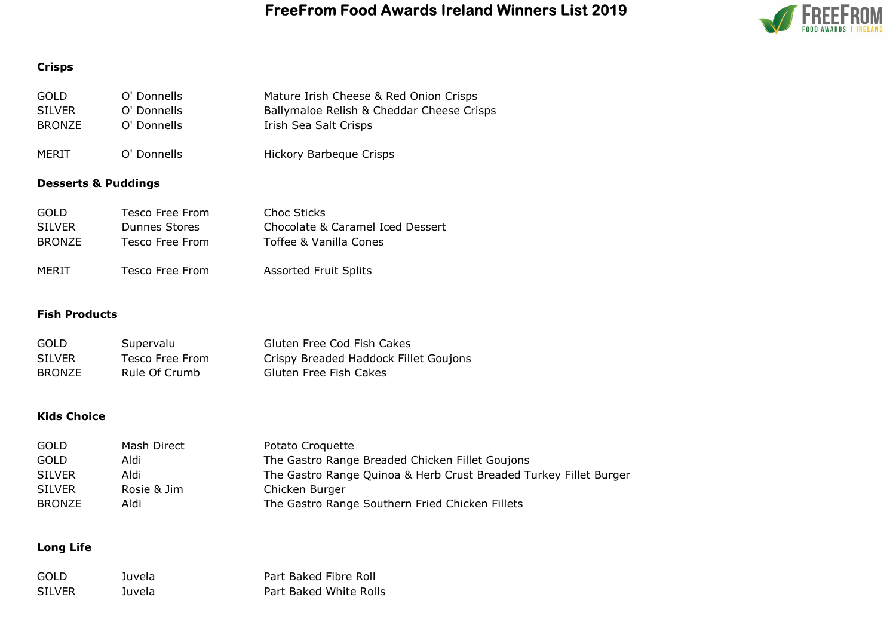

# Crisps

| GOLD.<br><b>SILVER</b><br><b>BRONZE</b> | O' Donnells<br>O' Donnells<br>O' Donnells           | Mature Irish Cheese & Red Onion Crisps<br>Ballymaloe Relish & Cheddar Cheese Crisps<br>Irish Sea Salt Crisps |
|-----------------------------------------|-----------------------------------------------------|--------------------------------------------------------------------------------------------------------------|
| MERIT                                   | O' Donnells                                         | <b>Hickory Barbeque Crisps</b>                                                                               |
| <b>Desserts &amp; Puddings</b>          |                                                     |                                                                                                              |
| GOLD.<br><b>SILVER</b><br><b>BRONZE</b> | Tesco Free From<br>Dunnes Stores<br>Tesco Free From | Choc Sticks<br>Chocolate & Caramel Iced Dessert<br>Toffee & Vanilla Cones                                    |
| MERIT                                   | Tesco Free From                                     | <b>Assorted Fruit Splits</b>                                                                                 |
| <b>Fish Products</b>                    |                                                     |                                                                                                              |

| <b>GOLD</b>   | Supervalu       | Gluten Free Cod Fish Cakes            |
|---------------|-----------------|---------------------------------------|
| <b>SILVER</b> | Tesco Free From | Crispy Breaded Haddock Fillet Goujons |
| <b>BRONZE</b> | Rule Of Crumb   | Gluten Free Fish Cakes                |

# Kids Choice

| GOLD          | Mash Direct | Potato Croquette                                                  |
|---------------|-------------|-------------------------------------------------------------------|
| GOLD          | Aldi        | The Gastro Range Breaded Chicken Fillet Goujons                   |
| <b>SILVER</b> | Aldi        | The Gastro Range Quinoa & Herb Crust Breaded Turkey Fillet Burger |
| <b>SILVER</b> | Rosie & Jim | Chicken Burger                                                    |
| <b>BRONZE</b> | Aldi        | The Gastro Range Southern Fried Chicken Fillets                   |

# Long Life

| -GOLD  | Juvela | Part Baked Fibre Roll  |
|--------|--------|------------------------|
| SILVER | Juvela | Part Baked White Rolls |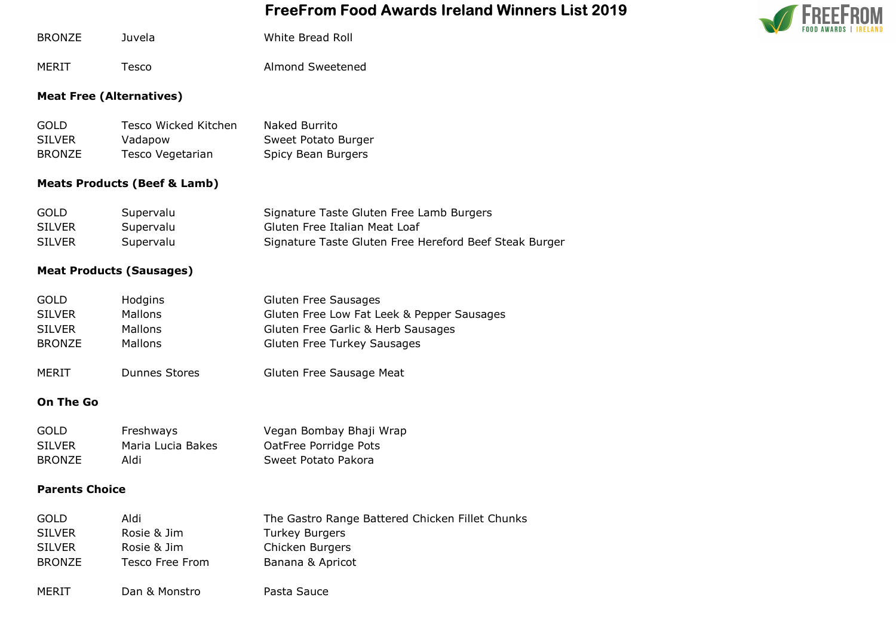

| <b>BRONZE</b> | Juvela | White Bread Roll |
|---------------|--------|------------------|
|               |        |                  |

MERIT Tesco Almond Sweetened

## Meat Free (Alternatives)

| <b>GOLD</b>   | Tesco Wicked Kitchen | Naked Burrito       |
|---------------|----------------------|---------------------|
| <b>SILVER</b> | Vadapow              | Sweet Potato Burger |
| <b>BRONZE</b> | Tesco Vegetarian     | Spicy Bean Burgers  |

# Meats Products (Beef & Lamb)

| <b>GOLD</b>   | Supervalu | Signature Taste Gluten Free Lamb Burgers               |
|---------------|-----------|--------------------------------------------------------|
| <b>SILVER</b> | Supervalu | Gluten Free Italian Meat Loaf                          |
| <b>SILVER</b> | Supervalu | Signature Taste Gluten Free Hereford Beef Steak Burger |

### Meat Products (Sausages)

| <b>GOLD</b>   | Hodgins              | <b>Gluten Free Sausages</b>                |
|---------------|----------------------|--------------------------------------------|
| <b>SILVER</b> | Mallons              | Gluten Free Low Fat Leek & Pepper Sausages |
| <b>SILVER</b> | Mallons              | Gluten Free Garlic & Herb Sausages         |
| <b>BRONZE</b> | <b>Mallons</b>       | <b>Gluten Free Turkey Sausages</b>         |
| <b>MERIT</b>  | <b>Dunnes Stores</b> | Gluten Free Sausage Meat                   |

## On The Go

| <b>GOLD</b>   | Freshways         | Vegan Bombay Bhaji Wrap |
|---------------|-------------------|-------------------------|
| <b>SILVER</b> | Maria Lucia Bakes | OatFree Porridge Pots   |
| BRONZE        | Aldi              | Sweet Potato Pakora     |

### Parents Choice

| <b>GOLD</b>   | iblA            | The Gastro Range Battered Chicken Fillet Chunks |
|---------------|-----------------|-------------------------------------------------|
| <b>SILVER</b> | Rosie & Jim     | <b>Turkey Burgers</b>                           |
| <b>SILVER</b> | Rosie & Jim     | Chicken Burgers                                 |
| <b>BRONZE</b> | Tesco Free From | Banana & Apricot                                |
|               |                 |                                                 |
| MERIT         | Dan & Monstro   | Pasta Sauce                                     |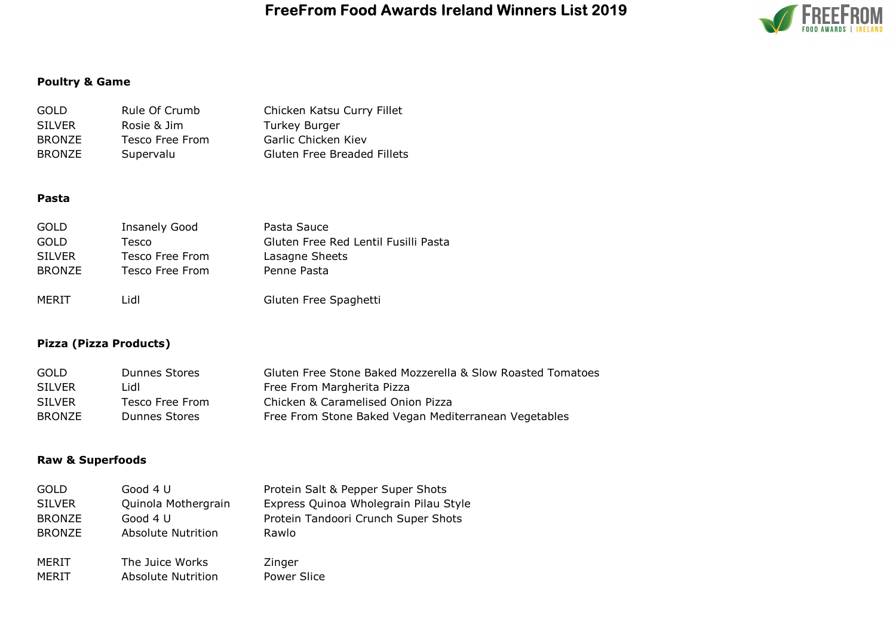

# Poultry & Game

| GOLD          | Rule Of Crumb   | Chicken Katsu Curry Fillet         |
|---------------|-----------------|------------------------------------|
| <b>SILVER</b> | Rosie & Jim     | <b>Turkey Burger</b>               |
| <b>BRONZE</b> | Tesco Free From | Garlic Chicken Kiev                |
| <b>BRONZE</b> | Supervalu       | <b>Gluten Free Breaded Fillets</b> |

#### Pasta

| <b>GOLD</b>   | <b>Insanely Good</b> | Pasta Sauce                          |
|---------------|----------------------|--------------------------------------|
| GOLD          | Tesco                | Gluten Free Red Lentil Fusilli Pasta |
| <b>SILVER</b> | Tesco Free From      | Lasagne Sheets                       |
| <b>BRONZE</b> | Tesco Free From      | Penne Pasta                          |
|               |                      |                                      |
| MERIT         | Lidl                 | Gluten Free Spaghetti                |

## Pizza (Pizza Products)

| <b>GOLD</b>   | Dunnes Stores   | Gluten Free Stone Baked Mozzerella & Slow Roasted Tomatoes |
|---------------|-----------------|------------------------------------------------------------|
| <b>SILVER</b> | Lidl            | Free From Margherita Pizza                                 |
| <b>SILVER</b> | Tesco Free From | Chicken & Caramelised Onion Pizza                          |
| <b>BRONZE</b> | Dunnes Stores   | Free From Stone Baked Vegan Mediterranean Vegetables       |

### Raw & Superfoods

| <b>GOLD</b>   | Good 4 U                  | Protein Salt & Pepper Super Shots     |
|---------------|---------------------------|---------------------------------------|
| <b>SILVER</b> | Quinola Mothergrain       | Express Quinoa Wholegrain Pilau Style |
| <b>BRONZE</b> | Good 4 U                  | Protein Tandoori Crunch Super Shots   |
| <b>BRONZE</b> | <b>Absolute Nutrition</b> | Rawlo                                 |
|               |                           |                                       |
| MERIT         | The Juice Works           | Zinger                                |
| MERIT         | <b>Absolute Nutrition</b> | Power Slice                           |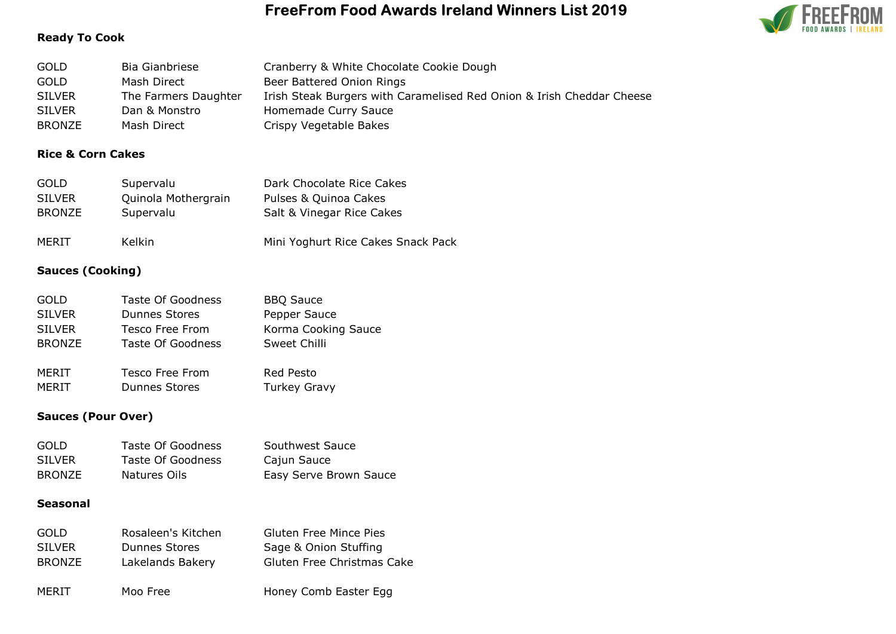

## Ready To Cook

| <b>GOLD</b>   | Bia Gianbriese       | Cranberry & White Chocolate Cookie Dough                              |
|---------------|----------------------|-----------------------------------------------------------------------|
| <b>GOLD</b>   | Mash Direct          | Beer Battered Onion Rings                                             |
| <b>SILVER</b> | The Farmers Daughter | Irish Steak Burgers with Caramelised Red Onion & Irish Cheddar Cheese |
| <b>SILVER</b> | Dan & Monstro        | Homemade Curry Sauce                                                  |
| <b>BRONZE</b> | Mash Direct          | Crispy Vegetable Bakes                                                |

## Rice & Corn Cakes

| <b>GOLD</b>   | Supervalu           | Dark Chocolate Rice Cakes          |
|---------------|---------------------|------------------------------------|
| <b>SILVER</b> | Quinola Mothergrain | Pulses & Quinoa Cakes              |
| <b>BRONZE</b> | Supervalu           | Salt & Vinegar Rice Cakes          |
| MERIT         | Kelkin              | Mini Yoghurt Rice Cakes Snack Pack |

## Sauces (Cooking)

| <b>GOLD</b>   | <b>Taste Of Goodness</b> | <b>BBQ Sauce</b>    |
|---------------|--------------------------|---------------------|
| <b>SILVER</b> | <b>Dunnes Stores</b>     | Pepper Sauce        |
| <b>SILVER</b> | <b>Tesco Free From</b>   | Korma Cooking Sauce |
| <b>BRONZE</b> | Taste Of Goodness        | Sweet Chilli        |
|               |                          |                     |
| MERIT         | Tesco Free From          | Red Pesto           |
| MERIT         | <b>Dunnes Stores</b>     | <b>Turkey Gravy</b> |

### Sauces (Pour Over)

| <b>GOLD</b>   | Taste Of Goodness | Southwest Sauce        |
|---------------|-------------------|------------------------|
| <b>SILVER</b> | Taste Of Goodness | Cajun Sauce            |
| <b>BRONZE</b> | Natures Oils      | Easy Serve Brown Sauce |

## Seasonal

| GOLD          | Rosaleen's Kitchen   | <b>Gluten Free Mince Pies</b> |
|---------------|----------------------|-------------------------------|
| <b>SILVER</b> | <b>Dunnes Stores</b> | Sage & Onion Stuffing         |
| <b>BRONZE</b> | Lakelands Bakery     | Gluten Free Christmas Cake    |
| MERIT         | Moo Free             | Honey Comb Easter Egg         |